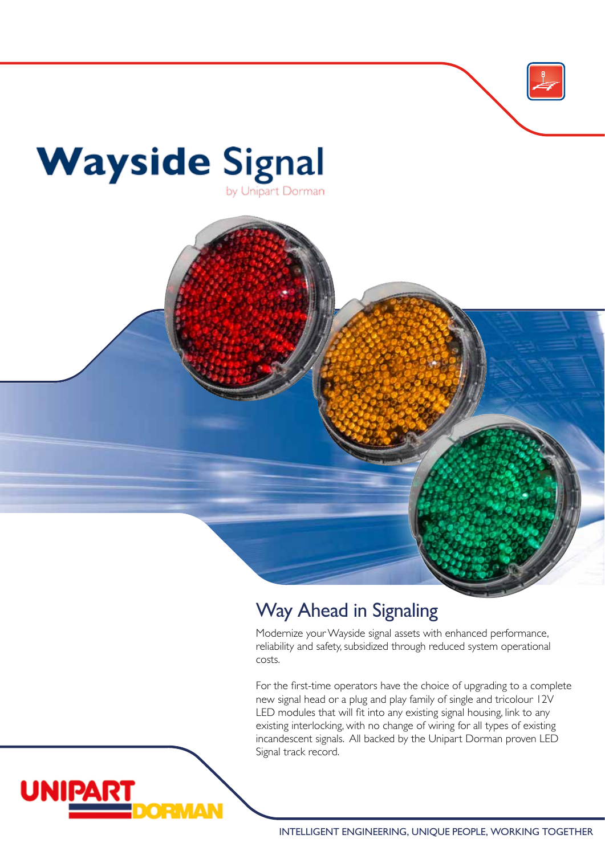

# Way Ahead in Signaling

Modernize your Wayside signal assets with enhanced performance, reliability and safety, subsidized through reduced system operational costs.

For the first-time operators have the choice of upgrading to a complete new signal head or a plug and play family of single and tricolour 12V LED modules that will fit into any existing signal housing, link to any existing interlocking, with no change of wiring for all types of existing incandescent signals. All backed by the Unipart Dorman proven LED Signal track record.

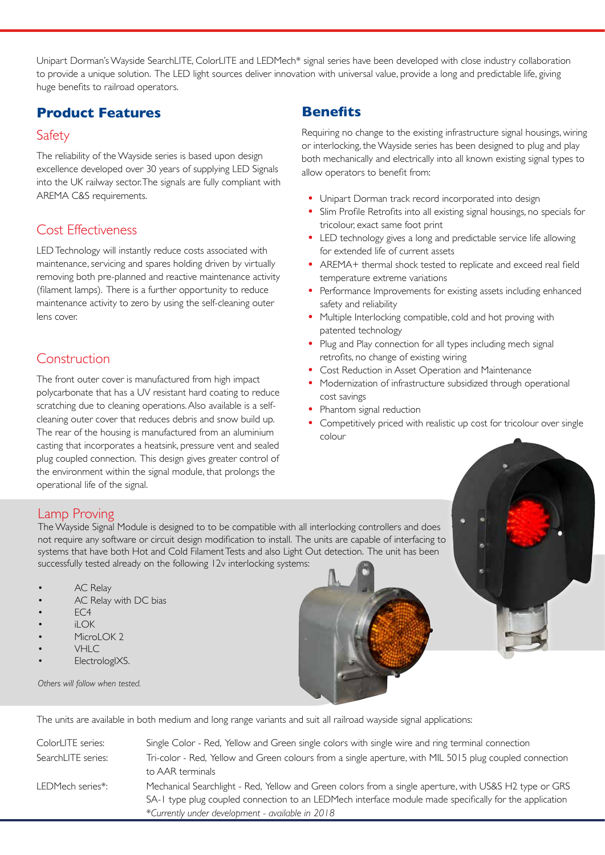Unipart Dorman's Wayside SearchLITE, ColorLITE and LEDMech\* signal series have been developed with close industry collaboration to provide a unique solution. The LED light sources deliver innovation with universal value, provide a long and predictable life, giving huge benefits to railroad operators.

#### **Product Features**

#### Safety

The reliability of the Wayside series is based upon design excellence developed over 30 years of supplying LED Signals into the UK railway sector. The signals are fully compliant with AREMA C&S requirements.

#### Cost Effectiveness

LED Technology will instantly reduce costs associated with maintenance, servicing and spares holding driven by virtually removing both pre-planned and reactive maintenance activity (filament lamps). There is a further opportunity to reduce maintenance activity to zero by using the self-cleaning outer lens cover.

### Construction

The front outer cover is manufactured from high impact polycarbonate that has a UV resistant hard coating to reduce scratching due to cleaning operations. Also available is a selfcleaning outer cover that reduces debris and snow build up. The rear of the housing is manufactured from an aluminium casting that incorporates a heatsink, pressure vent and sealed plug coupled connection. This design gives greater control of the environment within the signal module, that prolongs the operational life of the signal.

#### **Benefits**

Requiring no change to the existing infrastructure signal housings, wiring or interlocking, the Wayside series has been designed to plug and play both mechanically and electrically into all known existing signal types to allow operators to benefit from:

- **•** Unipart Dorman track record incorporated into design
- **•** Slim Profile Retrofits into all existing signal housings, no specials for tricolour, exact same foot print
- **•** LED technology gives a long and predictable service life allowing for extended life of current assets
- **•** AREMA+ thermal shock tested to replicate and exceed real field temperature extreme variations
- **•** Performance Improvements for existing assets including enhanced safety and reliability
- **•** Multiple Interlocking compatible, cold and hot proving with patented technology
- **•** Plug and Play connection for all types including mech signal retrofits, no change of existing wiring
- **•** Cost Reduction in Asset Operation and Maintenance
- **•** Modernization of infrastructure subsidized through operational cost savings
- **•** Phantom signal reduction
- **•** Competitively priced with realistic up cost for tricolour over single colour

#### Lamp Proving

The Wayside Signal Module is designed to to be compatible with all interlocking controllers and does not require any software or circuit design modification to install. The units are capable of interfacing to systems that have both Hot and Cold Filament Tests and also Light Out detection. The unit has been successfully tested already on the following 12v interlocking systems:

- AC Relay
- AC Relay with DC bias
- EC<sub>4</sub>
- iLOK
- MicroLOK<sub>2</sub>
- VHLC
- ElectrologIXS.

*Others will follow when tested.* 



The units are available in both medium and long range variants and suit all railroad wayside signal applications:

| ColorLITE series:  | Single Color - Red, Yellow and Green single colors with single wire and ring terminal connection                                                                                                                                                                     |
|--------------------|----------------------------------------------------------------------------------------------------------------------------------------------------------------------------------------------------------------------------------------------------------------------|
| SearchLITE series: | Tri-color - Red, Yellow and Green colours from a single aperture, with MIL 5015 plug coupled connection<br>to AAR terminals                                                                                                                                          |
| LEDMech series*:   | Mechanical Searchlight - Red, Yellow and Green colors from a single aperture, with US&S H2 type or GRS<br>SA-1 type plug coupled connection to an LEDMech interface module made specifically for the application<br>*Currently under development - available in 2018 |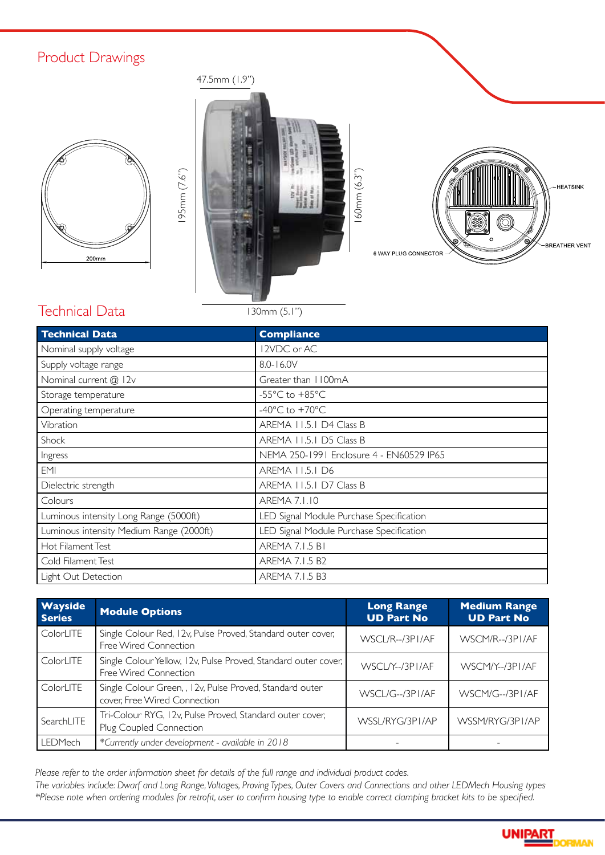# Product Drawings







### Technical Data

130mm (5.1")

| <b>Technical Data</b>                    | <b>Compliance</b>                        |  |
|------------------------------------------|------------------------------------------|--|
| Nominal supply voltage                   | 12VDC or AC                              |  |
| Supply voltage range                     | 8.0-16.0V                                |  |
| Nominal current @ 12v                    | Greater than 1100mA                      |  |
| Storage temperature                      | -55 $^{\circ}$ C to +85 $^{\circ}$ C     |  |
| Operating temperature                    | -40 $^{\circ}$ C to +70 $^{\circ}$ C     |  |
| Vibration                                | AREMA 11.5.1 D4 Class B                  |  |
| Shock                                    | AREMA 11.5.1 D5 Class B                  |  |
| Ingress                                  | NEMA 250-1991 Enclosure 4 - EN60529 IP65 |  |
| <b>EMI</b>                               | AREMA 11.5.1 D6                          |  |
| Dielectric strength                      | AREMA 11.5.1 D7 Class B                  |  |
| Colours                                  | <b>AREMA 7.1.10</b>                      |  |
| Luminous intensity Long Range (5000ft)   | LED Signal Module Purchase Specification |  |
| Luminous intensity Medium Range (2000ft) | LED Signal Module Purchase Specification |  |
| Hot Filament Test                        | <b>AREMA 7.1.5 B1</b>                    |  |
| Cold Filament Test                       | AREMA 7.1.5 B2                           |  |
| Light Out Detection                      | AREMA 7.1.5 B3                           |  |

| <b>Wayside</b><br><b>Series</b> | <b>Module Options</b>                                                                    | <b>Long Range</b><br><b>UD Part No</b> | <b>Medium Range</b><br><b>UD Part No</b> |
|---------------------------------|------------------------------------------------------------------------------------------|----------------------------------------|------------------------------------------|
| ColorLITE                       | Single Colour Red, I 2v, Pulse Proved, Standard outer cover,<br>Free Wired Connection    | WSCL/R--/3PI/AF                        | WSCM/R--/3PI/AF                          |
| ColorLITE                       | Single Colour Yellow, I 2v, Pulse Proved, Standard outer cover,<br>Free Wired Connection | WSCLY--/3PI/AF                         | WSCM/Y--/3PI/AF                          |
| ColorLITE                       | Single Colour Green,, I 2v, Pulse Proved, Standard outer<br>cover, Free Wired Connection | WSCL/G--/3PI/AF                        | WSCM/G--/3PI/AF                          |
| SearchLITE                      | Tri-Colour RYG, I2v, Pulse Proved, Standard outer cover,<br>Plug Coupled Connection      | WSSL/RYG/3PI/AP                        | WSSM/RYG/3PI/AP                          |
| LEDMech                         | *Currently under development - available in 2018                                         |                                        |                                          |

*Please refer to the order information sheet for details of the full range and individual product codes. The variables include: Dwarf and Long Range, Voltages, Proving Types, Outer Covers and Connections and other LEDMech Housing types \*Please note when ordering modules for retrofit, user to confirm housing type to enable correct clamping bracket kits to be specified.*